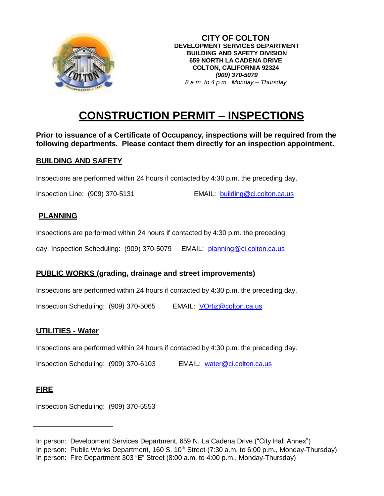

**CITY OF COLTON DEVELOPMENT SERVICES DEPARTMENT BUILDING AND SAFETY DIVISION 659 NORTH LA CADENA DRIVE COLTON, CALIFORNIA 92324** *(909) 370-5079 8 a.m. to 4 p.m. Monday – Thursday*

# **CONSTRUCTION PERMIT – INSPECTIONS**

**Prior to issuance of a Certificate of Occupancy, inspections will be required from the following departments. Please contact them directly for an inspection appointment.**

#### **BUILDING AND SAFETY**

Inspections are performed within 24 hours if contacted by 4:30 p.m. the preceding day.

Inspection Line: (909) 370-5131 EMAIL: [building@ci.colton.ca.us](mailto:building@ci.colton.ca.us)

#### **PLANNING**

Inspections are performed within 24 hours if contacted by 4:30 p.m. the preceding

day. Inspection Scheduling: (909) 370-5079 EMAIL: [planning@ci.colton.ca.us](mailto:planning@ci.colton.ca.us)

## **PUBLIC WORKS (grading, drainage and street improvements)**

Inspections are performed within 24 hours if contacted by 4:30 p.m. the preceding day.

Inspection Scheduling: (909) 370-5065 EMAIL: [VOrtiz@colton.ca.us](mailto:VOrtiz@colton.ca.us)

## **UTILITIES - Water**

Inspections are performed within 24 hours if contacted by 4:30 p.m. the preceding day.

Inspection Scheduling: (909) 370-6103 EMAIL: [water@ci.colton.ca.us](mailto:water@ci.colton.ca.us)

# **FIRE**

Inspection Scheduling: (909) 370-5553

In person: Development Services Department, 659 N. La Cadena Drive ("City Hall Annex") In person: Public Works Department, 160 S.  $10^{th}$  Street (7:30 a.m. to 6:00 p.m., Monday-Thursday) In person: Fire Department 303 "E" Street (8:00 a.m. to 4:00 p.m., Monday-Thursday)